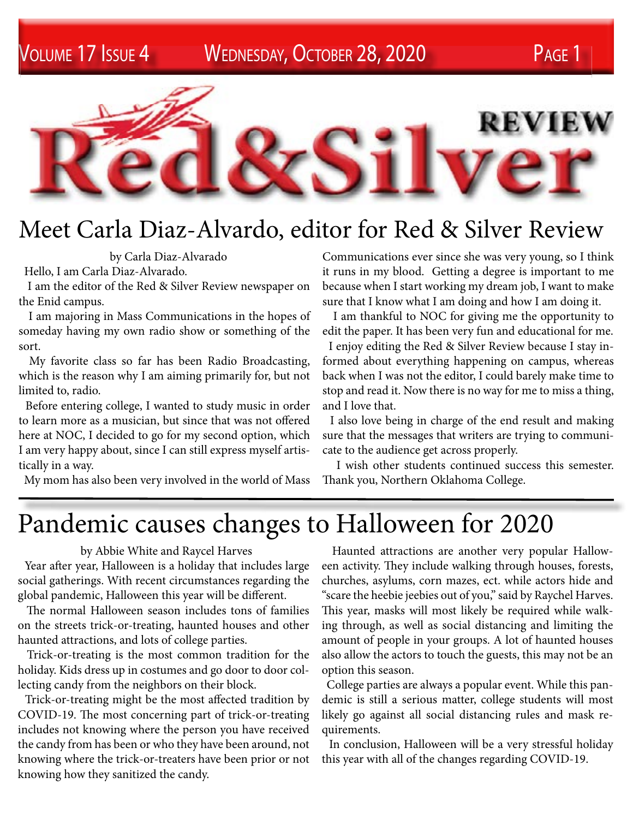Volume 17 Issue 4 Wednesday, October 28, 2020 Page 1



## Meet Carla Diaz-Alvardo, editor for Red & Silver Review

by Carla Diaz-Alvarado

Hello, I am Carla Diaz-Alvarado.

 I am the editor of the Red & Silver Review newspaper on the Enid campus.

 I am majoring in Mass Communications in the hopes of someday having my own radio show or something of the sort.

 My favorite class so far has been Radio Broadcasting, which is the reason why I am aiming primarily for, but not limited to, radio.

 Before entering college, I wanted to study music in order to learn more as a musician, but since that was not offered here at NOC, I decided to go for my second option, which I am very happy about, since I can still express myself artistically in a way.

My mom has also been very involved in the world of Mass

Communications ever since she was very young, so I think it runs in my blood. Getting a degree is important to me because when I start working my dream job, I want to make sure that I know what I am doing and how I am doing it.

 I am thankful to NOC for giving me the opportunity to edit the paper. It has been very fun and educational for me. I enjoy editing the Red & Silver Review because I stay informed about everything happening on campus, whereas back when I was not the editor, I could barely make time to stop and read it. Now there is no way for me to miss a thing, and I love that.

 I also love being in charge of the end result and making sure that the messages that writers are trying to communicate to the audience get across properly.

 I wish other students continued success this semester. Thank you, Northern Oklahoma College.

## Pandemic causes changes to Halloween for 2020

## by Abbie White and Raycel Harves

 Year after year, Halloween is a holiday that includes large social gatherings. With recent circumstances regarding the global pandemic, Halloween this year will be different.

 The normal Halloween season includes tons of families on the streets trick-or-treating, haunted houses and other haunted attractions, and lots of college parties.

 Trick-or-treating is the most common tradition for the holiday. Kids dress up in costumes and go door to door collecting candy from the neighbors on their block.

 Trick-or-treating might be the most affected tradition by COVID-19. The most concerning part of trick-or-treating includes not knowing where the person you have received the candy from has been or who they have been around, not knowing where the trick-or-treaters have been prior or not knowing how they sanitized the candy.

 Haunted attractions are another very popular Halloween activity. They include walking through houses, forests, churches, asylums, corn mazes, ect. while actors hide and "scare the heebie jeebies out of you," said by Raychel Harves. This year, masks will most likely be required while walking through, as well as social distancing and limiting the amount of people in your groups. A lot of haunted houses also allow the actors to touch the guests, this may not be an option this season.

 College parties are always a popular event. While this pandemic is still a serious matter, college students will most likely go against all social distancing rules and mask requirements.

 In conclusion, Halloween will be a very stressful holiday this year with all of the changes regarding COVID-19.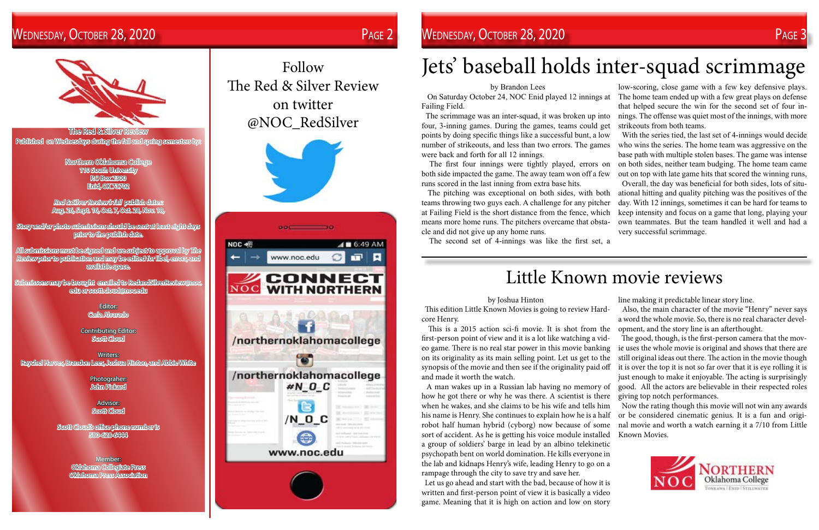The Red & Silver Review Published on Wednesdays during the fall and spring semesters by:

> Northern Oklahoma College 110 South University P.O Box 2300 Enid, OK 73702

Red & Silver Review's fall publish dates: Aug. 26, Sept. 16, Oct. 7, Oct. 28, Nov. 18,

Story and/or photo submissions should be sent at least eight days prior to the publish date.

All submissions must be signed and are subject to approval by The Review prior to publication and may be edited for libel, errors, and available space.

Submissons may be brought emailed to RedandSilverReview@noc. edu or scott.cloud@noc.edu

> Editor: Carla Alvarado

Contributing Editor: Scott Cloud

Writers: Raychel Harves, Brandon Lees, Joshua Hinton, and Abbie White

> Photograher: John Pickard

Advisor: Scott Cloud

Scott Cloud's office phone number is 580-628-6444

> Member: Oklahoma Collegiate Press Oklahoma Press Association

## Follow The Red & Silver Review on twitter @NOC\_RedSilver



## WEDNESDAY, OCTOBER 28, 2020 PAGE 2 PAGE 2 WEDNESDAY, OCTOBER 28, 2020 PAGE 3 PAGE 3

by Brandon Lees

The scrimmage was an inter-squad, it was broken up into

Failing Field. four, 3-inning games. During the games, teams could get points by doing specific things like a successful bunt, a low number of strikeouts, and less than two errors. The games were back and forth for all 12 innings. both side impacted the game. The away team won off a few runs scored in the last inning from extra base hits. teams throwing two guys each. A challenge for any pitcher at Failing Field is the short distance from the fence, which means more home runs. The pitchers overcame that obstacle and did not give up any home runs.

The second set of 4-innings was like the first set, a

 On Saturday October 24, NOC Enid played 12 innings at The first four innings were tightly played, errors on The pitching was exceptional on both sides, with both low-scoring, close game with a few key defensive plays. The home team ended up with a few great plays on defense that helped secure the win for the second set of four innings. The offense was quiet most of the innings, with more strikeouts from both teams. With the series tied, the last set of 4-innings would decide who wins the series. The home team was aggressive on the base path with multiple stolen bases. The game was intense on both sides, neither team budging. The home team came out on top with late game hits that scored the winning runs, Overall, the day was beneficial for both sides, lots of situational hitting and quality pitching was the positives of the day. With 12 innings, sometimes it can be hard for teams to keep intensity and focus on a game that long, playing your own teammates. But the team handled it well and had a very successful scrimmage.

# Jets' baseball holds inter-squad scrimmage

## by Joshua Hinton

 This edition Little Known Movies is going to review Hardcore Henry. Also, the main character of the movie "Henry" never says a word the whole movie. So, there is no real character devel-

 This is a 2015 action sci-fi movie. It is shot from the first-person point of view and it is a lot like watching a video game. There is no real star power in this movie banking on its originality as its main selling point. Let us get to the synopsis of the movie and then see if the originality paid off and made it worth the watch. A man wakes up in a Russian lab having no memory of opment, and the story line is an afterthought. The good, though, is the first-person camera that the movie uses the whole movie is original and shows that there are still original ideas out there. The action in the movie though it is over the top it is not so far over that it is eye rolling it is just enough to make it enjoyable. The acting is surprisingly good. All the actors are believable in their respected roles

 Let us go ahead and start with the bad, because of how it is written and first-person point of view it is basically a video game. Meaning that it is high on action and low on story

line making it predictable linear story line.





how he got there or why he was there. A scientist is there when he wakes, and she claims to be his wife and tells him his name is Henry. She continues to explain how he is a half robot half human hybrid (cyborg) now because of some sort of accident. As he is getting his voice module installed a group of soldiers' barge in lead by an albino telekinetic psychopath bent on world domination. He kills everyone in the lab and kidnaps Henry's wife, leading Henry to go on a rampage through the city to save try and save her. giving top notch performances. Now the rating though this movie will not win any awards or be considered cinematic genius. It is a fun and original movie and worth a watch earning it a 7/10 from Little Known Movies.

# Little Known movie reviews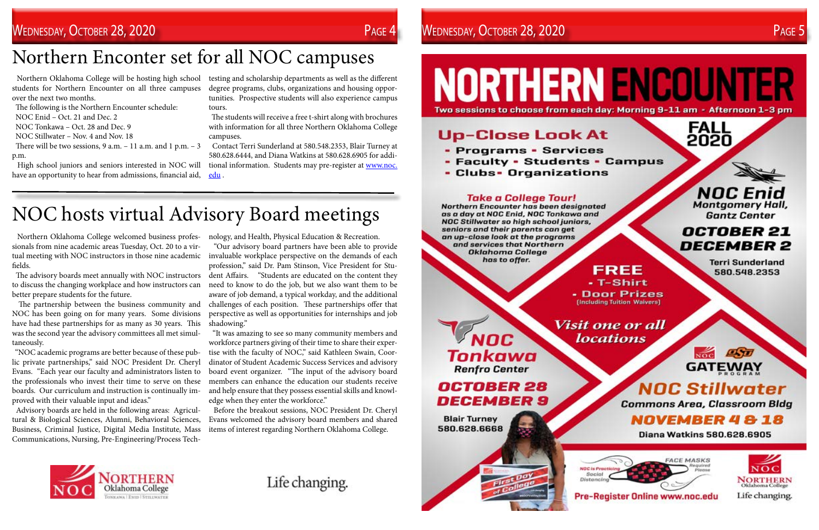students for Northern Encounter on all three campuses over the next two months.

There will be two sessions,  $9$  a.m.  $-11$  a.m. and  $1$  p.m.  $-3$ p.m.

The following is the Northern Encounter schedule:

- NOC Enid Oct. 21 and Dec. 2
- NOC Tonkawa Oct. 28 and Dec. 9

NOC Stillwater – Nov. 4 and Nov. 18

 Northern Oklahoma College will be hosting high school testing and scholarship departments as well as the different degree programs, clubs, organizations and housing opportunities. Prospective students will also experience campus tours.

 High school juniors and seniors interested in NOC will have an opportunity to hear from admissions, financial aid,

 The students will receive a free t-shirt along with brochures with information for all three Northern Oklahoma College campuses.

 Contact Terri Sunderland at 580.548.2353, Blair Turney at 580.628.6444, and Diana Watkins at 580.628.6905 for additional information. Students may pre-register at [www.noc.](http://www.noc.edu) [edu](http://www.noc.edu) .

# Northern Enconter set for all NOC campuses

 Northern Oklahoma College welcomed business profes-nology, and Health, Physical Education & Recreation. sionals from nine academic areas Tuesday, Oct. 20 to a virfields.

 The advisory boards meet annually with NOC instructors to discuss the changing workplace and how instructors can better prepare students for the future.

 The partnership between the business community and NOC has been going on for many years. Some divisions have had these partnerships for as many as 30 years. This was the second year the advisory committees all met simultaneously.

 "NOC academic programs are better because of these public private partnerships," said NOC President Dr. Cheryl Evans. "Each year our faculty and administrators listen to the professionals who invest their time to serve on these boards. Our curriculum and instruction is continually improved with their valuable input and ideas."

tual meeting with NOC instructors in those nine academic invaluable workplace perspective on the demands of each "Our advisory board partners have been able to provide profession," said Dr. Pam Stinson, Vice President for Student Affairs. "Students are educated on the content they need to know to do the job, but we also want them to be aware of job demand, a typical workday, and the additional challenges of each position. These partnerships offer that perspective as well as opportunities for internships and job shadowing."

 Advisory boards are held in the following areas: Agricultural & Biological Sciences, Alumni, Behavioral Sciences, Business, Criminal Justice, Digital Media Institute, Mass Communications, Nursing, Pre-Engineering/Process Tech-

 "It was amazing to see so many community members and workforce partners giving of their time to share their expertise with the faculty of NOC," said Kathleen Swain, Coordinator of Student Academic Success Services and advisory board event organizer. "The input of the advisory board members can enhance the education our students receive and help ensure that they possess essential skills and knowledge when they enter the workforce."

 Before the breakout sessions, NOC President Dr. Cheryl Evans welcomed the advisory board members and shared items of interest regarding Northern Oklahoma College.



Life changing.

**NORTHERN ENCOUNTER** 

## **Up-Close Look At**

- Programs Services
- Faculty Students Campus
- Clubs• Organizations

## **Take a College Tour!**

Northern Encounter has been designated as a day at NOC Enid, NOC Tonkawa and **NOC Stillwater so high school juniors,** seniors and their parents can get an up-close look at the programs and services that Northern **Oklahoma College** has to offer.

FREE - T-Shirt - Door Prizes **[Including Tuition Waivers]** 

## NOC Tonkawa **Renfro Center**

**OCTOBER 28 DECEMBER 9** 

**Blair Turney** 580.628.6668





Two sessions to choose from each day: Morning 9-11 am - Afternoon 1-3 pm

**FALL<br>2020** 



## **OCTOBER 21 DECEMBER 2**

**Terri Sunderland** 580.548.2353



# **GATEWAY**

# **NOC Stillwater**

**Commons Area, Classroom Bldg** 

**NOVEMBER 4818** 

**Diana Watkins 580.628.6905** 







# NOC hosts virtual Advisory Board meetings